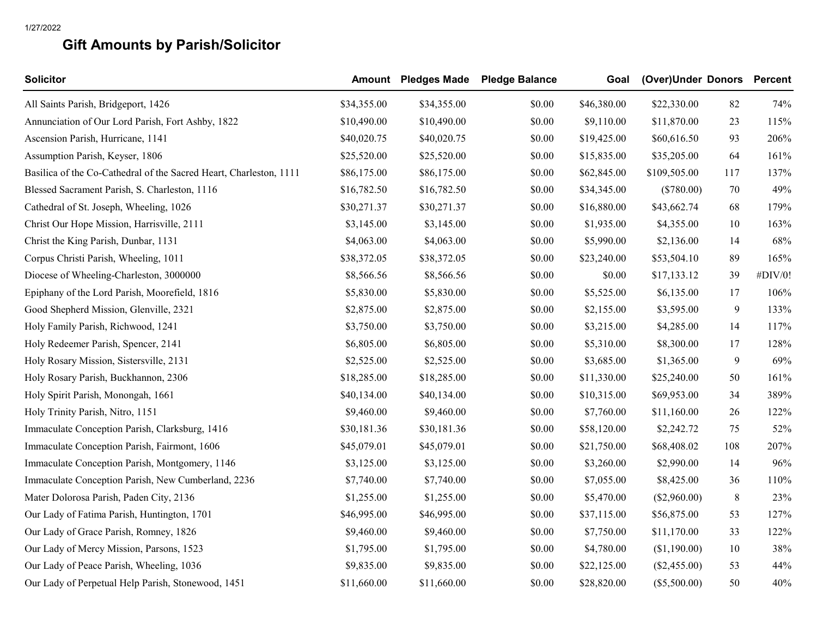## **Gift Amounts by Parish/Solicitor**

| <b>Solicitor</b>                                                   |             | <b>Amount</b> Pledges Made | <b>Pledge Balance</b> | Goal        | (Over)Under Donors |                | <b>Percent</b> |
|--------------------------------------------------------------------|-------------|----------------------------|-----------------------|-------------|--------------------|----------------|----------------|
| All Saints Parish, Bridgeport, 1426                                | \$34,355.00 | \$34,355.00                | \$0.00                | \$46,380.00 | \$22,330.00        | 82             | 74%            |
| Annunciation of Our Lord Parish, Fort Ashby, 1822                  | \$10,490.00 | \$10,490.00                | \$0.00                | \$9,110.00  | \$11,870.00        | 23             | 115%           |
| Ascension Parish, Hurricane, 1141                                  | \$40,020.75 | \$40,020.75                | \$0.00                | \$19,425.00 | \$60,616.50        | 93             | 206%           |
| Assumption Parish, Keyser, 1806                                    | \$25,520.00 | \$25,520.00                | \$0.00                | \$15,835.00 | \$35,205.00        | 64             | 161%           |
| Basilica of the Co-Cathedral of the Sacred Heart, Charleston, 1111 | \$86,175.00 | \$86,175.00                | \$0.00                | \$62,845.00 | \$109,505.00       | 117            | 137%           |
| Blessed Sacrament Parish, S. Charleston, 1116                      | \$16,782.50 | \$16,782.50                | \$0.00                | \$34,345.00 | $(\$780.00)$       | 70             | 49%            |
| Cathedral of St. Joseph, Wheeling, 1026                            | \$30,271.37 | \$30,271.37                | \$0.00                | \$16,880.00 | \$43,662.74        | 68             | 179%           |
| Christ Our Hope Mission, Harrisville, 2111                         | \$3,145.00  | \$3,145.00                 | \$0.00                | \$1,935.00  | \$4,355.00         | 10             | 163%           |
| Christ the King Parish, Dunbar, 1131                               | \$4,063.00  | \$4,063.00                 | \$0.00                | \$5,990.00  | \$2,136.00         | 14             | 68%            |
| Corpus Christi Parish, Wheeling, 1011                              | \$38,372.05 | \$38,372.05                | \$0.00                | \$23,240.00 | \$53,504.10        | 89             | 165%           |
| Diocese of Wheeling-Charleston, 3000000                            | \$8,566.56  | \$8,566.56                 | \$0.00                | \$0.00      | \$17,133.12        | 39             | #DIV/0!        |
| Epiphany of the Lord Parish, Moorefield, 1816                      | \$5,830.00  | \$5,830.00                 | \$0.00                | \$5,525.00  | \$6,135.00         | 17             | 106%           |
| Good Shepherd Mission, Glenville, 2321                             | \$2,875.00  | \$2,875.00                 | \$0.00                | \$2,155.00  | \$3,595.00         | 9              | 133%           |
| Holy Family Parish, Richwood, 1241                                 | \$3,750.00  | \$3,750.00                 | \$0.00                | \$3,215.00  | \$4,285.00         | 14             | 117%           |
| Holy Redeemer Parish, Spencer, 2141                                | \$6,805.00  | \$6,805.00                 | \$0.00                | \$5,310.00  | \$8,300.00         | 17             | 128%           |
| Holy Rosary Mission, Sistersville, 2131                            | \$2,525.00  | \$2,525.00                 | \$0.00                | \$3,685.00  | \$1,365.00         | $\overline{9}$ | 69%            |
| Holy Rosary Parish, Buckhannon, 2306                               | \$18,285.00 | \$18,285.00                | \$0.00                | \$11,330.00 | \$25,240.00        | 50             | 161%           |
| Holy Spirit Parish, Monongah, 1661                                 | \$40,134.00 | \$40,134.00                | \$0.00                | \$10,315.00 | \$69,953.00        | 34             | 389%           |
| Holy Trinity Parish, Nitro, 1151                                   | \$9,460.00  | \$9,460.00                 | \$0.00                | \$7,760.00  | \$11,160.00        | 26             | 122%           |
| Immaculate Conception Parish, Clarksburg, 1416                     | \$30,181.36 | \$30,181.36                | \$0.00                | \$58,120.00 | \$2,242.72         | 75             | 52%            |
| Immaculate Conception Parish, Fairmont, 1606                       | \$45,079.01 | \$45,079.01                | \$0.00                | \$21,750.00 | \$68,408.02        | 108            | 207%           |
| Immaculate Conception Parish, Montgomery, 1146                     | \$3,125.00  | \$3,125.00                 | \$0.00                | \$3,260.00  | \$2,990.00         | 14             | 96%            |
| Immaculate Conception Parish, New Cumberland, 2236                 | \$7,740.00  | \$7,740.00                 | \$0.00                | \$7,055.00  | \$8,425.00         | 36             | 110%           |
| Mater Dolorosa Parish, Paden City, 2136                            | \$1,255.00  | \$1,255.00                 | \$0.00                | \$5,470.00  | (\$2,960.00)       | 8              | 23%            |
| Our Lady of Fatima Parish, Huntington, 1701                        | \$46,995.00 | \$46,995.00                | \$0.00                | \$37,115.00 | \$56,875.00        | 53             | 127%           |
| Our Lady of Grace Parish, Romney, 1826                             | \$9,460.00  | \$9,460.00                 | \$0.00                | \$7,750.00  | \$11,170.00        | 33             | 122%           |
| Our Lady of Mercy Mission, Parsons, 1523                           | \$1,795.00  | \$1,795.00                 | \$0.00                | \$4,780.00  | (\$1,190.00)       | 10             | 38%            |
| Our Lady of Peace Parish, Wheeling, 1036                           | \$9,835.00  | \$9,835.00                 | \$0.00                | \$22,125.00 | $(\$2,455.00)$     | 53             | 44%            |
| Our Lady of Perpetual Help Parish, Stonewood, 1451                 | \$11,660.00 | \$11,660.00                | \$0.00                | \$28,820.00 | $(\$5,500.00)$     | 50             | 40%            |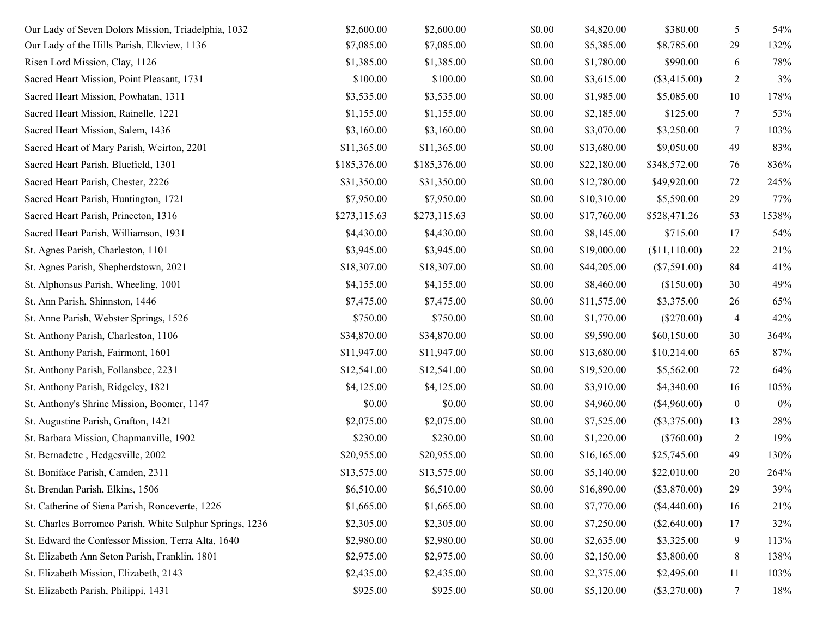| Our Lady of Seven Dolors Mission, Triadelphia, 1032      | \$2,600.00   | \$2,600.00   | \$0.00 | \$4,820.00  | \$380.00       | 5                | 54%   |
|----------------------------------------------------------|--------------|--------------|--------|-------------|----------------|------------------|-------|
| Our Lady of the Hills Parish, Elkview, 1136              | \$7,085.00   | \$7,085.00   | \$0.00 | \$5,385.00  | \$8,785.00     | 29               | 132%  |
| Risen Lord Mission, Clay, 1126                           | \$1,385.00   | \$1,385.00   | \$0.00 | \$1,780.00  | \$990.00       | 6                | 78%   |
| Sacred Heart Mission, Point Pleasant, 1731               | \$100.00     | \$100.00     | \$0.00 | \$3,615.00  | $(\$3,415.00)$ | $\overline{2}$   | 3%    |
| Sacred Heart Mission, Powhatan, 1311                     | \$3,535.00   | \$3,535.00   | \$0.00 | \$1,985.00  | \$5,085.00     | 10               | 178%  |
| Sacred Heart Mission, Rainelle, 1221                     | \$1,155.00   | \$1,155.00   | \$0.00 | \$2,185.00  | \$125.00       | $\tau$           | 53%   |
| Sacred Heart Mission, Salem, 1436                        | \$3,160.00   | \$3,160.00   | \$0.00 | \$3,070.00  | \$3,250.00     | 7                | 103%  |
| Sacred Heart of Mary Parish, Weirton, 2201               | \$11,365.00  | \$11,365.00  | \$0.00 | \$13,680.00 | \$9,050.00     | 49               | 83%   |
| Sacred Heart Parish, Bluefield, 1301                     | \$185,376.00 | \$185,376.00 | \$0.00 | \$22,180.00 | \$348,572.00   | 76               | 836%  |
| Sacred Heart Parish, Chester, 2226                       | \$31,350.00  | \$31,350.00  | \$0.00 | \$12,780.00 | \$49,920.00    | 72               | 245%  |
| Sacred Heart Parish, Huntington, 1721                    | \$7,950.00   | \$7,950.00   | \$0.00 | \$10,310.00 | \$5,590.00     | 29               | 77%   |
| Sacred Heart Parish, Princeton, 1316                     | \$273,115.63 | \$273,115.63 | \$0.00 | \$17,760.00 | \$528,471.26   | 53               | 1538% |
| Sacred Heart Parish, Williamson, 1931                    | \$4,430.00   | \$4,430.00   | \$0.00 | \$8,145.00  | \$715.00       | 17               | 54%   |
| St. Agnes Parish, Charleston, 1101                       | \$3,945.00   | \$3,945.00   | \$0.00 | \$19,000.00 | (\$11,110.00)  | 22               | 21%   |
| St. Agnes Parish, Shepherdstown, 2021                    | \$18,307.00  | \$18,307.00  | \$0.00 | \$44,205.00 | (\$7,591.00)   | 84               | 41%   |
| St. Alphonsus Parish, Wheeling, 1001                     | \$4,155.00   | \$4,155.00   | \$0.00 | \$8,460.00  | (\$150.00)     | 30               | 49%   |
| St. Ann Parish, Shinnston, 1446                          | \$7,475.00   | \$7,475.00   | \$0.00 | \$11,575.00 | \$3,375.00     | 26               | 65%   |
| St. Anne Parish, Webster Springs, 1526                   | \$750.00     | \$750.00     | \$0.00 | \$1,770.00  | $(\$270.00)$   | 4                | 42%   |
| St. Anthony Parish, Charleston, 1106                     | \$34,870.00  | \$34,870.00  | \$0.00 | \$9,590.00  | \$60,150.00    | 30               | 364%  |
| St. Anthony Parish, Fairmont, 1601                       | \$11,947.00  | \$11,947.00  | \$0.00 | \$13,680.00 | \$10,214.00    | 65               | 87%   |
| St. Anthony Parish, Follansbee, 2231                     | \$12,541.00  | \$12,541.00  | \$0.00 | \$19,520.00 | \$5,562.00     | 72               | 64%   |
| St. Anthony Parish, Ridgeley, 1821                       | \$4,125.00   | \$4,125.00   | \$0.00 | \$3,910.00  | \$4,340.00     | 16               | 105%  |
| St. Anthony's Shrine Mission, Boomer, 1147               | \$0.00       | \$0.00       | \$0.00 | \$4,960.00  | (\$4,960.00)   | $\boldsymbol{0}$ | $0\%$ |
| St. Augustine Parish, Grafton, 1421                      | \$2,075.00   | \$2,075.00   | \$0.00 | \$7,525.00  | (\$3,375.00)   | 13               | 28%   |
| St. Barbara Mission, Chapmanville, 1902                  | \$230.00     | \$230.00     | \$0.00 | \$1,220.00  | $(\$760.00)$   | $\overline{2}$   | 19%   |
| St. Bernadette, Hedgesville, 2002                        | \$20,955.00  | \$20,955.00  | \$0.00 | \$16,165.00 | \$25,745.00    | 49               | 130%  |
| St. Boniface Parish, Camden, 2311                        | \$13,575.00  | \$13,575.00  | \$0.00 | \$5,140.00  | \$22,010.00    | 20               | 264%  |
| St. Brendan Parish, Elkins, 1506                         | \$6,510.00   | \$6,510.00   | \$0.00 | \$16,890.00 | (\$3,870.00)   | 29               | 39%   |
| St. Catherine of Siena Parish, Ronceverte, 1226          | \$1,665.00   | \$1,665.00   | \$0.00 | \$7,770.00  | $(\$4,440.00)$ | 16               | 21%   |
| St. Charles Borromeo Parish, White Sulphur Springs, 1236 | \$2,305.00   | \$2,305.00   | \$0.00 | \$7,250.00  | $(\$2,640.00)$ | 17               | 32%   |
| St. Edward the Confessor Mission, Terra Alta, 1640       | \$2,980.00   | \$2,980.00   | \$0.00 | \$2,635.00  | \$3,325.00     | 9                | 113%  |
| St. Elizabeth Ann Seton Parish, Franklin, 1801           | \$2,975.00   | \$2,975.00   | \$0.00 | \$2,150.00  | \$3,800.00     | 8                | 138%  |
| St. Elizabeth Mission, Elizabeth, 2143                   | \$2,435.00   | \$2,435.00   | \$0.00 | \$2,375.00  | \$2,495.00     | 11               | 103%  |
| St. Elizabeth Parish, Philippi, 1431                     | \$925.00     | \$925.00     | \$0.00 | \$5,120.00  | $(\$3,270.00)$ | 7                | 18%   |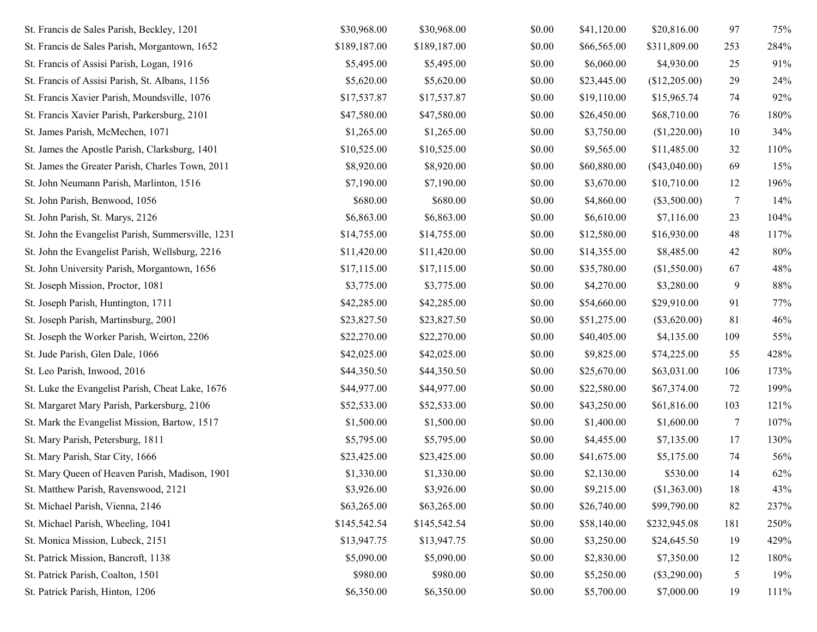| St. Francis de Sales Parish, Beckley, 1201         | \$30,968.00  | \$30,968.00  | \$0.00 | \$41,120.00 | \$20,816.00     | 97             | 75%    |
|----------------------------------------------------|--------------|--------------|--------|-------------|-----------------|----------------|--------|
| St. Francis de Sales Parish, Morgantown, 1652      | \$189,187.00 | \$189,187.00 | \$0.00 | \$66,565.00 | \$311,809.00    | 253            | 284%   |
| St. Francis of Assisi Parish, Logan, 1916          | \$5,495.00   | \$5,495.00   | \$0.00 | \$6,060.00  | \$4,930.00      | 25             | $91\%$ |
| St. Francis of Assisi Parish, St. Albans, 1156     | \$5,620.00   | \$5,620.00   | \$0.00 | \$23,445.00 | (\$12,205.00)   | 29             | 24%    |
| St. Francis Xavier Parish, Moundsville, 1076       | \$17,537.87  | \$17,537.87  | \$0.00 | \$19,110.00 | \$15,965.74     | 74             | 92%    |
| St. Francis Xavier Parish, Parkersburg, 2101       | \$47,580.00  | \$47,580.00  | \$0.00 | \$26,450.00 | \$68,710.00     | 76             | 180%   |
| St. James Parish, McMechen, 1071                   | \$1,265.00   | \$1,265.00   | \$0.00 | \$3,750.00  | (\$1,220.00)    | 10             | 34%    |
| St. James the Apostle Parish, Clarksburg, 1401     | \$10,525.00  | \$10,525.00  | \$0.00 | \$9,565.00  | \$11,485.00     | 32             | 110%   |
| St. James the Greater Parish, Charles Town, 2011   | \$8,920.00   | \$8,920.00   | \$0.00 | \$60,880.00 | $(\$43,040.00)$ | 69             | 15%    |
| St. John Neumann Parish, Marlinton, 1516           | \$7,190.00   | \$7,190.00   | \$0.00 | \$3,670.00  | \$10,710.00     | 12             | 196%   |
| St. John Parish, Benwood, 1056                     | \$680.00     | \$680.00     | \$0.00 | \$4,860.00  | $(\$3,500.00)$  | $\overline{7}$ | 14%    |
| St. John Parish, St. Marys, 2126                   | \$6,863.00   | \$6,863.00   | \$0.00 | \$6,610.00  | \$7,116.00      | 23             | 104%   |
| St. John the Evangelist Parish, Summersville, 1231 | \$14,755.00  | \$14,755.00  | \$0.00 | \$12,580.00 | \$16,930.00     | 48             | 117%   |
| St. John the Evangelist Parish, Wellsburg, 2216    | \$11,420.00  | \$11,420.00  | \$0.00 | \$14,355.00 | \$8,485.00      | 42             | 80%    |
| St. John University Parish, Morgantown, 1656       | \$17,115.00  | \$17,115.00  | \$0.00 | \$35,780.00 | (\$1,550.00)    | 67             | 48%    |
| St. Joseph Mission, Proctor, 1081                  | \$3,775.00   | \$3,775.00   | \$0.00 | \$4,270.00  | \$3,280.00      | 9              | 88%    |
| St. Joseph Parish, Huntington, 1711                | \$42,285.00  | \$42,285.00  | \$0.00 | \$54,660.00 | \$29,910.00     | 91             | 77%    |
| St. Joseph Parish, Martinsburg, 2001               | \$23,827.50  | \$23,827.50  | \$0.00 | \$51,275.00 | $(\$3,620.00)$  | 81             | 46%    |
| St. Joseph the Worker Parish, Weirton, 2206        | \$22,270.00  | \$22,270.00  | \$0.00 | \$40,405.00 | \$4,135.00      | 109            | 55%    |
| St. Jude Parish, Glen Dale, 1066                   | \$42,025.00  | \$42,025.00  | \$0.00 | \$9,825.00  | \$74,225.00     | 55             | 428%   |
| St. Leo Parish, Inwood, 2016                       | \$44,350.50  | \$44,350.50  | \$0.00 | \$25,670.00 | \$63,031.00     | 106            | 173%   |
| St. Luke the Evangelist Parish, Cheat Lake, 1676   | \$44,977.00  | \$44,977.00  | \$0.00 | \$22,580.00 | \$67,374.00     | 72             | 199%   |
| St. Margaret Mary Parish, Parkersburg, 2106        | \$52,533.00  | \$52,533.00  | \$0.00 | \$43,250.00 | \$61,816.00     | 103            | 121%   |
| St. Mark the Evangelist Mission, Bartow, 1517      | \$1,500.00   | \$1,500.00   | \$0.00 | \$1,400.00  | \$1,600.00      | 7              | 107%   |
| St. Mary Parish, Petersburg, 1811                  | \$5,795.00   | \$5,795.00   | \$0.00 | \$4,455.00  | \$7,135.00      | 17             | 130%   |
| St. Mary Parish, Star City, 1666                   | \$23,425.00  | \$23,425.00  | \$0.00 | \$41,675.00 | \$5,175.00      | 74             | 56%    |
| St. Mary Queen of Heaven Parish, Madison, 1901     | \$1,330.00   | \$1,330.00   | \$0.00 | \$2,130.00  | \$530.00        | 14             | 62%    |
| St. Matthew Parish, Ravenswood, 2121               | \$3,926.00   | \$3,926.00   | \$0.00 | \$9,215.00  | (\$1,363.00)    | 18             | 43%    |
| St. Michael Parish, Vienna, 2146                   | \$63,265.00  | \$63,265.00  | \$0.00 | \$26,740.00 | \$99,790.00     | 82             | 237%   |
| St. Michael Parish, Wheeling, 1041                 | \$145,542.54 | \$145,542.54 | \$0.00 | \$58,140.00 | \$232,945.08    | 181            | 250%   |
| St. Monica Mission, Lubeck, 2151                   | \$13,947.75  | \$13,947.75  | \$0.00 | \$3,250.00  | \$24,645.50     | 19             | 429%   |
| St. Patrick Mission, Bancroft, 1138                | \$5,090.00   | \$5,090.00   | \$0.00 | \$2,830.00  | \$7,350.00      | 12             | 180%   |
| St. Patrick Parish, Coalton, 1501                  | \$980.00     | \$980.00     | \$0.00 | \$5,250.00  | $(\$3,290.00)$  | 5              | 19%    |
| St. Patrick Parish, Hinton, 1206                   | \$6,350.00   | \$6,350.00   | \$0.00 | \$5,700.00  | \$7,000.00      | 19             | 111%   |